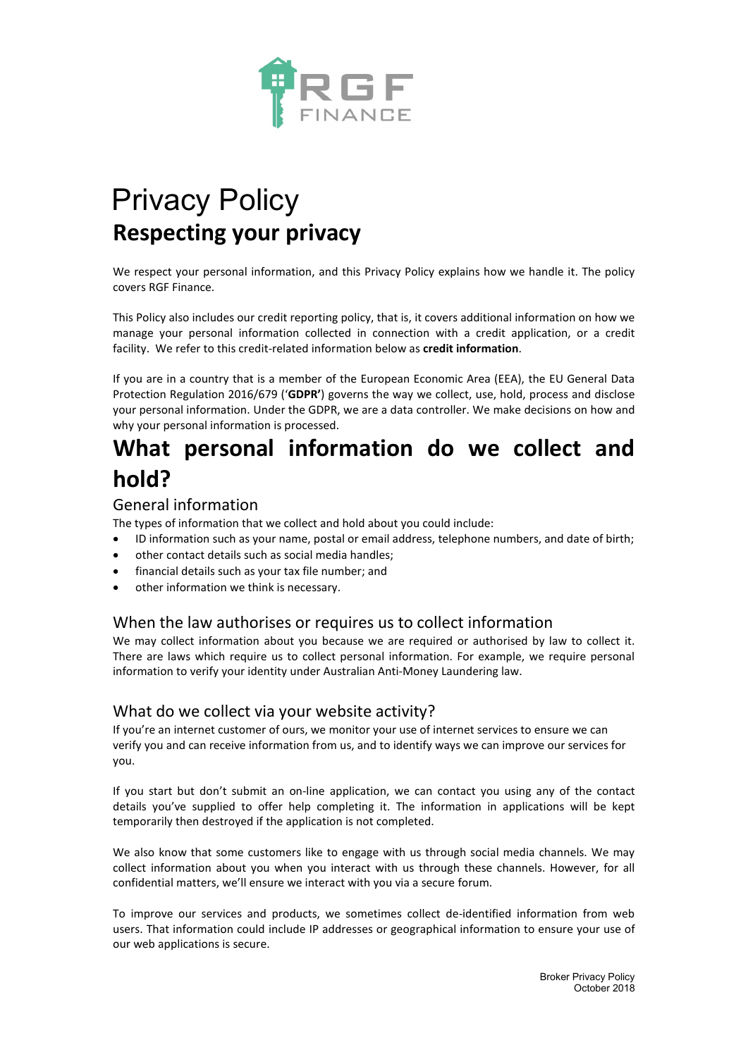

# Privacy Policy **Respecting your privacy**

We respect your personal information, and this Privacy Policy explains how we handle it. The policy covers RGF Finance.

This Policy also includes our credit reporting policy, that is, it covers additional information on how we manage your personal information collected in connection with a credit application, or a credit facility. We refer to this credit-related information below as **credit information**.

If you are in a country that is a member of the European Economic Area (EEA), the EU General Data Protection Regulation 2016/679 ('**GDPR'**) governs the way we collect, use, hold, process and disclose your personal information. Under the GDPR, we are a data controller. We make decisions on how and why your personal information is processed.

# **What personal information do we collect and hold?**

### General information

The types of information that we collect and hold about you could include:

- ID information such as your name, postal or email address, telephone numbers, and date of birth;
- other contact details such as social media handles;
- financial details such as your tax file number; and
- other information we think is necessary.

## When the law authorises or requires us to collect information

We may collect information about you because we are required or authorised by law to collect it. There are laws which require us to collect personal information. For example, we require personal information to verify your identity under Australian Anti-Money Laundering law.

### What do we collect via your website activity?

If you're an internet customer of ours, we monitor your use of internet services to ensure we can verify you and can receive information from us, and to identify ways we can improve our services for you.

If you start but don't submit an on-line application, we can contact you using any of the contact details you've supplied to offer help completing it. The information in applications will be kept temporarily then destroyed if the application is not completed.

We also know that some customers like to engage with us through social media channels. We may collect information about you when you interact with us through these channels. However, for all confidential matters, we'll ensure we interact with you via a secure forum.

To improve our services and products, we sometimes collect de-identified information from web users. That information could include IP addresses or geographical information to ensure your use of our web applications is secure.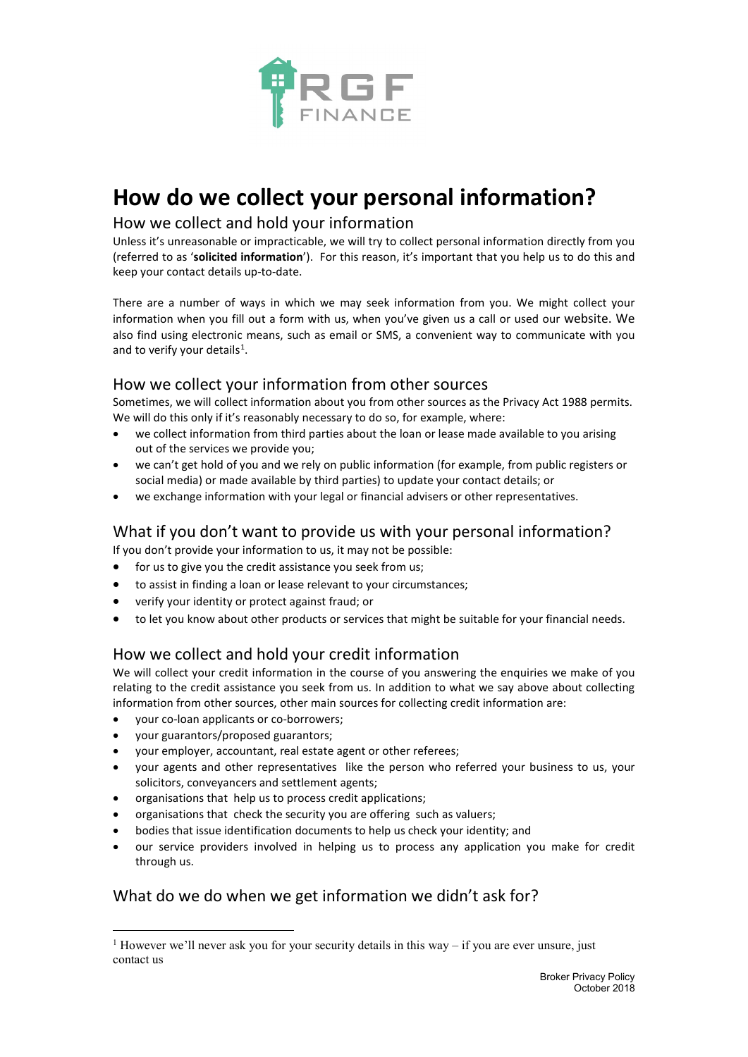

# **How do we collect your personal information?**

## How we collect and hold your information

Unless it's unreasonable or impracticable, we will try to collect personal information directly from you (referred to as '**solicited information**'). For this reason, it's important that you help us to do this and keep your contact details up-to-date.

There are a number of ways in which we may seek information from you. We might collect your information when you fill out a form with us, when you've given us a call or used our website. We also find using electronic means, such as email or SMS, a convenient way to communicate with you and to verify your details<sup>[1](#page-1-0)</sup>.

## How we collect your information from other sources

Sometimes, we will collect information about you from other sources as the Privacy Act 1988 permits. We will do this only if it's reasonably necessary to do so, for example, where:

- we collect information from third parties about the loan or lease made available to you arising out of the services we provide you;
- we can't get hold of you and we rely on public information (for example, from public registers or social media) or made available by third parties) to update your contact details; or
- we exchange information with your legal or financial advisers or other representatives.

## What if you don't want to provide us with your personal information?

If you don't provide your information to us, it may not be possible:

- for us to give you the credit assistance you seek from us;
- to assist in finding a loan or lease relevant to your circumstances;
- verify your identity or protect against fraud; or
- to let you know about other products or services that might be suitable for your financial needs.

## How we collect and hold your credit information

We will collect your credit information in the course of you answering the enquiries we make of you relating to the credit assistance you seek from us. In addition to what we say above about collecting information from other sources, other main sources for collecting credit information are:

- your co-loan applicants or co-borrowers;
- your guarantors/proposed guarantors;
- your employer, accountant, real estate agent or other referees;
- your agents and other representatives like the person who referred your business to us, your solicitors, conveyancers and settlement agents;
- organisations that help us to process credit applications;
- organisations that check the security you are offering such as valuers;
- bodies that issue identification documents to help us check your identity; and
- our service providers involved in helping us to process any application you make for credit through us.

## What do we do when we get information we didn't ask for?

<span id="page-1-0"></span><sup>&</sup>lt;sup>1</sup> However we'll never ask you for your security details in this way – if you are ever unsure, just contact us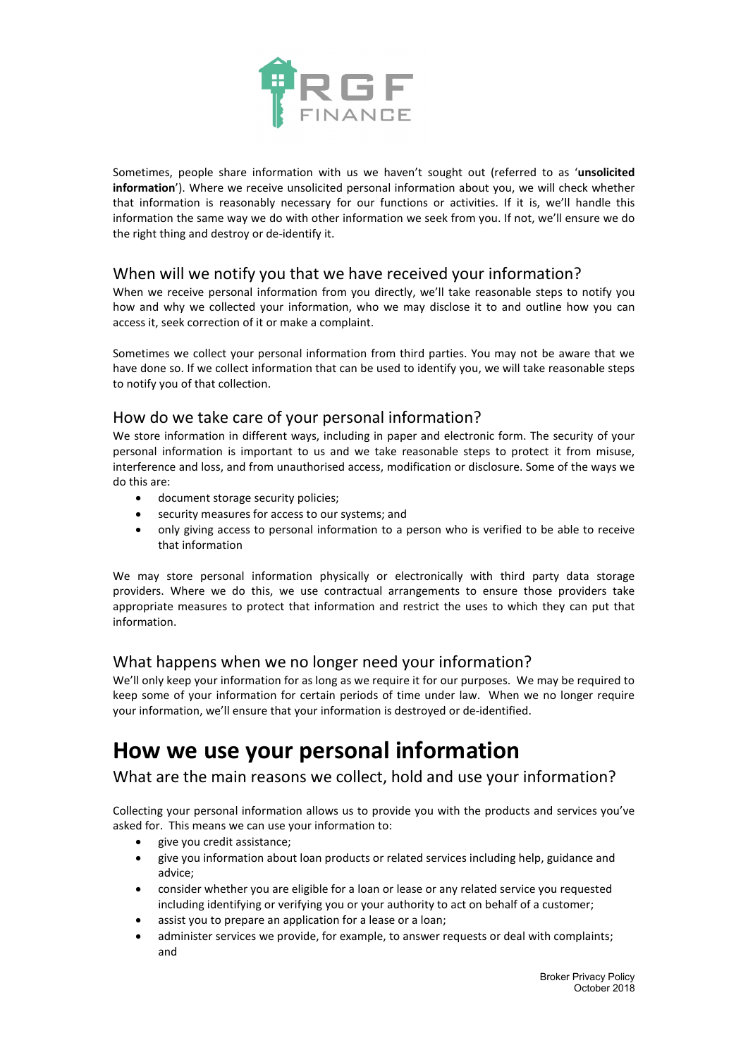

Sometimes, people share information with us we haven't sought out (referred to as '**unsolicited information**'). Where we receive unsolicited personal information about you, we will check whether that information is reasonably necessary for our functions or activities. If it is, we'll handle this information the same way we do with other information we seek from you. If not, we'll ensure we do the right thing and destroy or de-identify it.

## When will we notify you that we have received your information?

When we receive personal information from you directly, we'll take reasonable steps to notify you how and why we collected your information, who we may disclose it to and outline how you can access it, seek correction of it or make a complaint.

Sometimes we collect your personal information from third parties. You may not be aware that we have done so. If we collect information that can be used to identify you, we will take reasonable steps to notify you of that collection.

## How do we take care of your personal information?

We store information in different ways, including in paper and electronic form. The security of your personal information is important to us and we take reasonable steps to protect it from misuse, interference and loss, and from unauthorised access, modification or disclosure. Some of the ways we do this are:

- document storage security policies;
- security measures for access to our systems; and
- only giving access to personal information to a person who is verified to be able to receive that information

We may store personal information physically or electronically with third party data storage providers. Where we do this, we use contractual arrangements to ensure those providers take appropriate measures to protect that information and restrict the uses to which they can put that information.

### What happens when we no longer need your information?

We'll only keep your information for as long as we require it for our purposes. We may be required to keep some of your information for certain periods of time under law. When we no longer require your information, we'll ensure that your information is destroyed or de-identified.

# **How we use your personal information**

What are the main reasons we collect, hold and use your information?

Collecting your personal information allows us to provide you with the products and services you've asked for. This means we can use your information to:

- give you credit assistance;
- give you information about loan products or related services including help, guidance and advice;
- consider whether you are eligible for a loan or lease or any related service you requested including identifying or verifying you or your authority to act on behalf of a customer;
- assist you to prepare an application for a lease or a loan;
- administer services we provide, for example, to answer requests or deal with complaints; and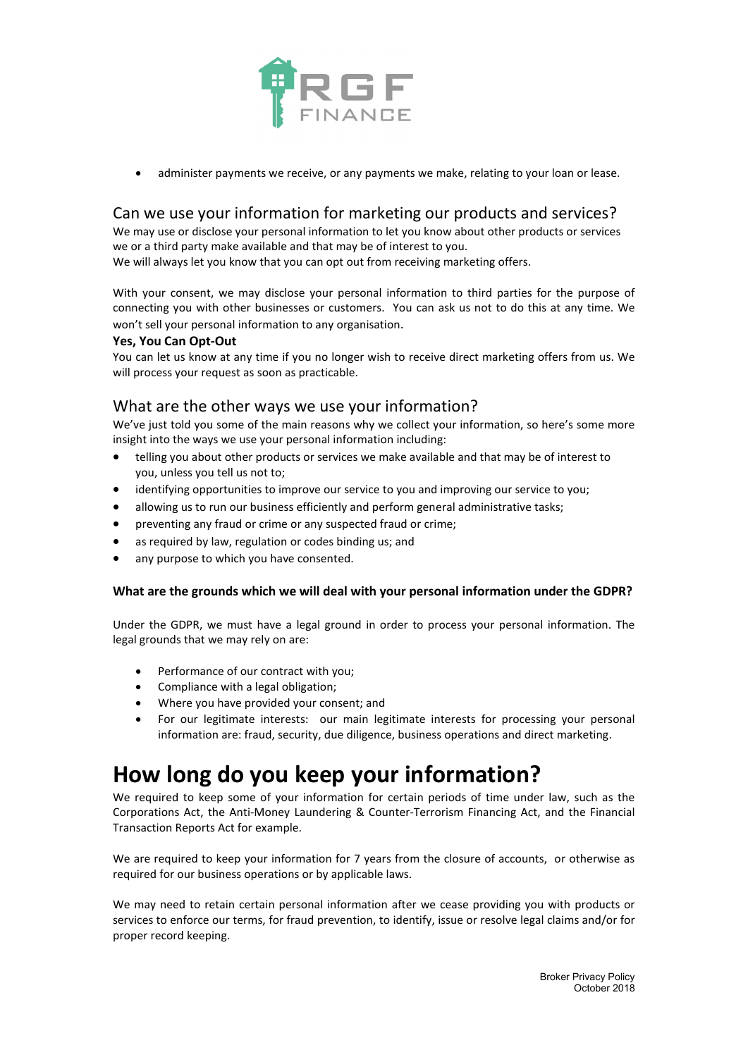

administer payments we receive, or any payments we make, relating to your loan or lease.

## Can we use your information for marketing our products and services?

We may use or disclose your personal information to let you know about other products or services we or a third party make available and that may be of interest to you.

We will always let you know that you can opt out from receiving marketing offers.

With your consent, we may disclose your personal information to third parties for the purpose of connecting you with other businesses or customers. You can ask us not to do this at any time. We won't sell your personal information to any organisation.

### **Yes, You Can Opt-Out**

You can let us know at any time if you no longer wish to receive direct marketing offers from us. We will process your request as soon as practicable.

## What are the other ways we use your information?

We've just told you some of the main reasons why we collect your information, so here's some more insight into the ways we use your personal information including:

- telling you about other products or services we make available and that may be of interest to you, unless you tell us not to;
- identifying opportunities to improve our service to you and improving our service to you;
- allowing us to run our business efficiently and perform general administrative tasks;
- preventing any fraud or crime or any suspected fraud or crime;
- as required by law, regulation or codes binding us; and
- any purpose to which you have consented.

### **What are the grounds which we will deal with your personal information under the GDPR?**

Under the GDPR, we must have a legal ground in order to process your personal information. The legal grounds that we may rely on are:

- Performance of our contract with you;
- Compliance with a legal obligation;
- Where you have provided your consent; and
- For our legitimate interests: our main legitimate interests for processing your personal information are: fraud, security, due diligence, business operations and direct marketing.

# **How long do you keep your information?**

We required to keep some of your information for certain periods of time under law, such as the Corporations Act, the Anti-Money Laundering & Counter-Terrorism Financing Act, and the Financial Transaction Reports Act for example.

We are required to keep your information for 7 years from the closure of accounts, or otherwise as required for our business operations or by applicable laws.

We may need to retain certain personal information after we cease providing you with products or services to enforce our terms, for fraud prevention, to identify, issue or resolve legal claims and/or for proper record keeping.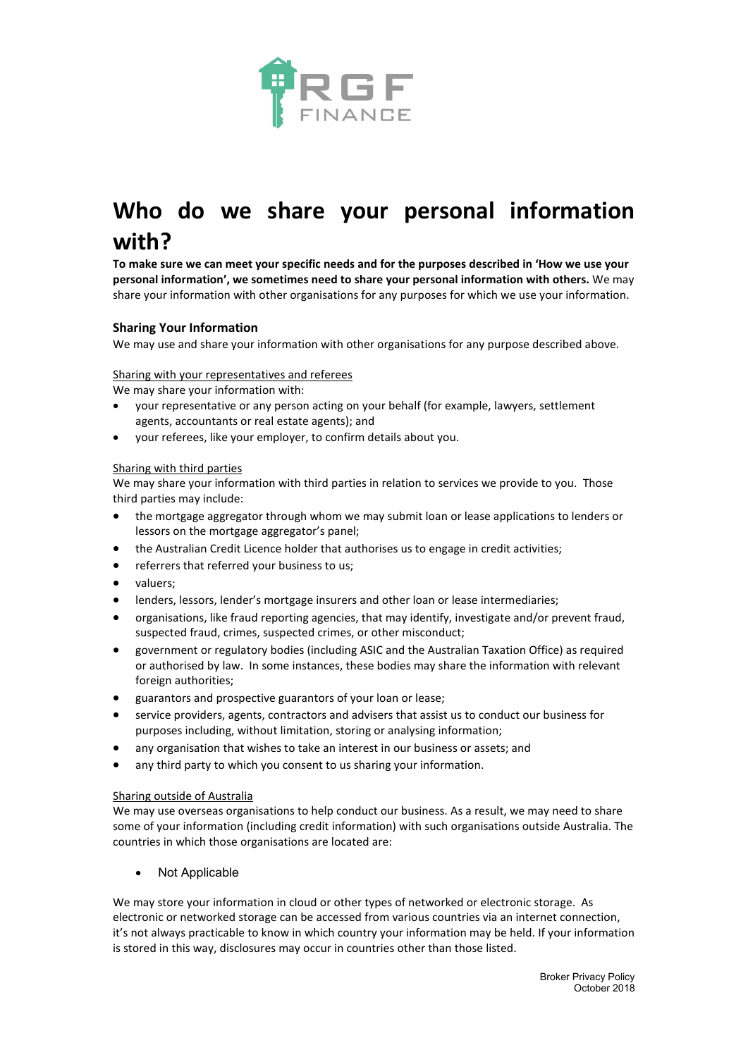

# **Who do we share your personal information with?**

**To make sure we can meet your specific needs and for the purposes described in 'How we use your personal information', we sometimes need to share your personal information with others.** We may share your information with other organisations for any purposes for which we use your information.

### **Sharing Your Information**

We may use and share your information with other organisations for any purpose described above.

### Sharing with your representatives and referees

We may share your information with:

- your representative or any person acting on your behalf (for example, lawyers, settlement agents, accountants or real estate agents); and
- your referees, like your employer, to confirm details about you.

#### Sharing with third parties

We may share your information with third parties in relation to services we provide to you. Those third parties may include:

- the mortgage aggregator through whom we may submit loan or lease applications to lenders or lessors on the mortgage aggregator's panel;
- the Australian Credit Licence holder that authorises us to engage in credit activities;
- referrers that referred your business to us;
- valuers;
- lenders, lessors, lender's mortgage insurers and other loan or lease intermediaries;
- organisations, like fraud reporting agencies, that may identify, investigate and/or prevent fraud, suspected fraud, crimes, suspected crimes, or other misconduct;
- government or regulatory bodies (including ASIC and the Australian Taxation Office) as required or authorised by law. In some instances, these bodies may share the information with relevant foreign authorities;
- guarantors and prospective guarantors of your loan or lease;
- service providers, agents, contractors and advisers that assist us to conduct our business for purposes including, without limitation, storing or analysing information;
- any organisation that wishes to take an interest in our business or assets; and
- any third party to which you consent to us sharing your information.

#### Sharing outside of Australia

We may use overseas organisations to help conduct our business. As a result, we may need to share some of your information (including credit information) with such organisations outside Australia. The countries in which those organisations are located are:

**Not Applicable** 

We may store your information in cloud or other types of networked or electronic storage. As electronic or networked storage can be accessed from various countries via an internet connection, it's not always practicable to know in which country your information may be held. If your information is stored in this way, disclosures may occur in countries other than those listed.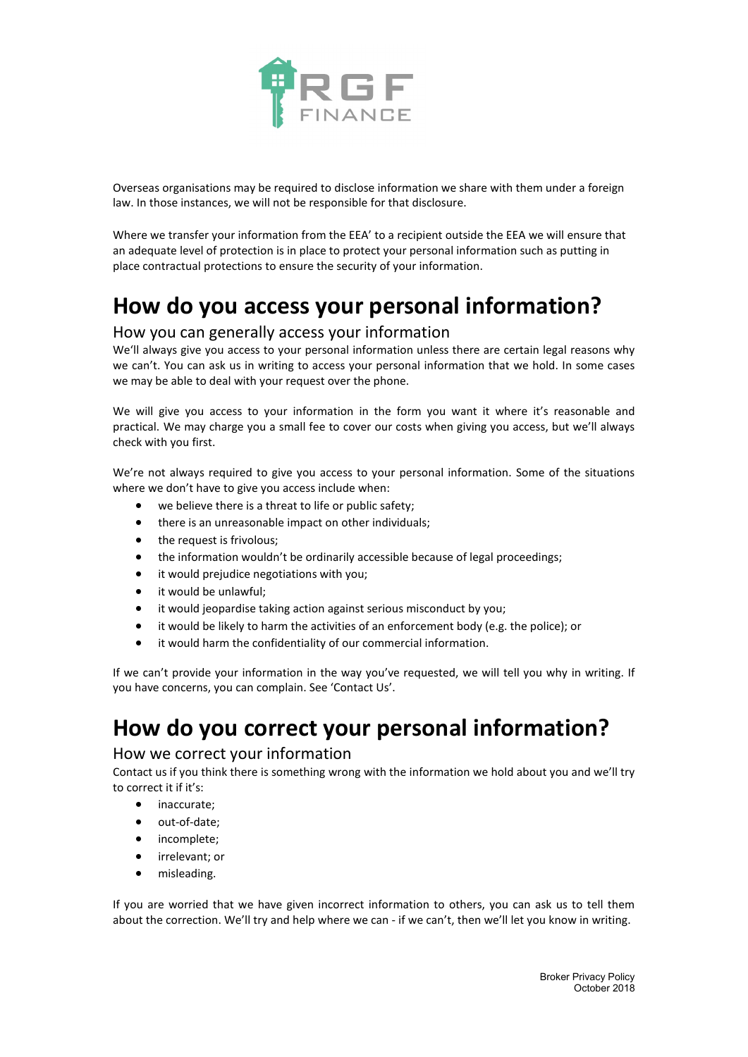

Overseas organisations may be required to disclose information we share with them under a foreign law. In those instances, we will not be responsible for that disclosure.

Where we transfer your information from the EEA' to a recipient outside the EEA we will ensure that an adequate level of protection is in place to protect your personal information such as putting in place contractual protections to ensure the security of your information.

# **How do you access your personal information?**

### How you can generally access your information

We'll always give you access to your personal information unless there are certain legal reasons why we can't. You can ask us in writing to access your personal information that we hold. In some cases we may be able to deal with your request over the phone.

We will give you access to your information in the form you want it where it's reasonable and practical. We may charge you a small fee to cover our costs when giving you access, but we'll always check with you first.

We're not always required to give you access to your personal information. Some of the situations where we don't have to give you access include when:

- we believe there is a threat to life or public safety;
- there is an unreasonable impact on other individuals;
- the request is frivolous;
- the information wouldn't be ordinarily accessible because of legal proceedings;
- it would prejudice negotiations with you;
- it would be unlawful;
- it would jeopardise taking action against serious misconduct by you;
- it would be likely to harm the activities of an enforcement body (e.g. the police); or
- it would harm the confidentiality of our commercial information.

If we can't provide your information in the way you've requested, we will tell you why in writing. If you have concerns, you can complain. See 'Contact Us'.

# **How do you correct your personal information?**

### How we correct your information

Contact us if you think there is something wrong with the information we hold about you and we'll try to correct it if it's:

- inaccurate;
- out-of-date;
- incomplete;
- irrelevant; or
- misleading.

If you are worried that we have given incorrect information to others, you can ask us to tell them about the correction. We'll try and help where we can - if we can't, then we'll let you know in writing.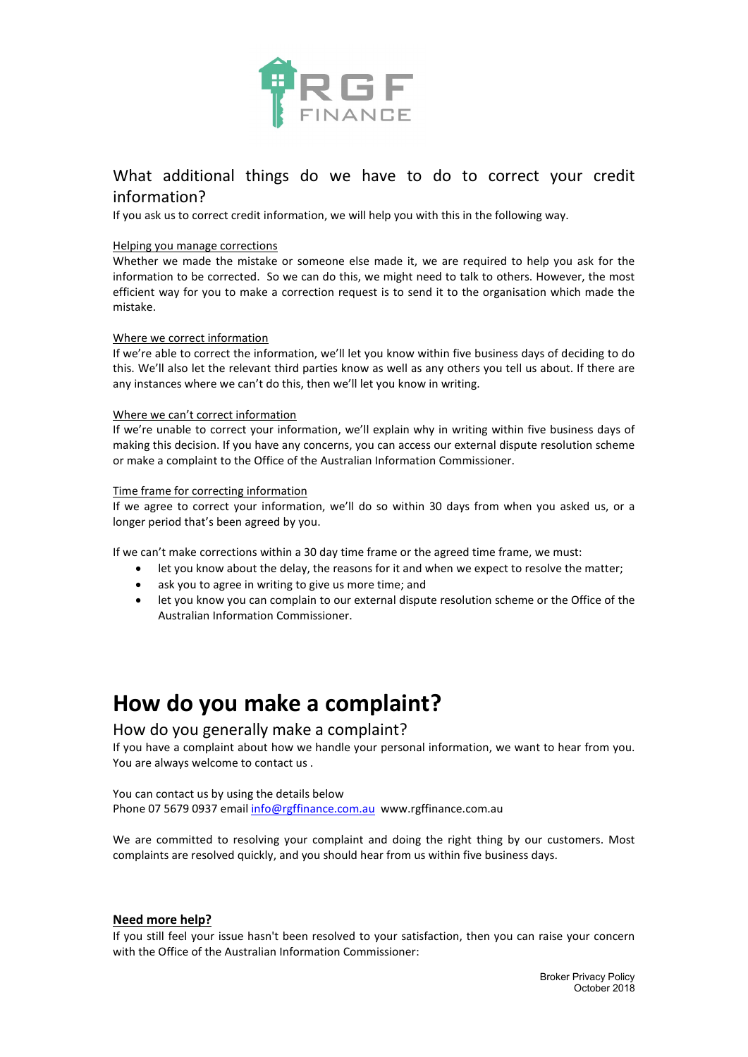

## What additional things do we have to do to correct your credit information?

If you ask us to correct credit information, we will help you with this in the following way.

#### Helping you manage corrections

Whether we made the mistake or someone else made it, we are required to help you ask for the information to be corrected. So we can do this, we might need to talk to others. However, the most efficient way for you to make a correction request is to send it to the organisation which made the mistake.

#### Where we correct information

If we're able to correct the information, we'll let you know within five business days of deciding to do this. We'll also let the relevant third parties know as well as any others you tell us about. If there are any instances where we can't do this, then we'll let you know in writing.

#### Where we can't correct information

If we're unable to correct your information, we'll explain why in writing within five business days of making this decision. If you have any concerns, you can access our external dispute resolution scheme or make a complaint to the Office of the Australian Information Commissioner.

#### Time frame for correcting information

If we agree to correct your information, we'll do so within 30 days from when you asked us, or a longer period that's been agreed by you.

If we can't make corrections within a 30 day time frame or the agreed time frame, we must:

- let you know about the delay, the reasons for it and when we expect to resolve the matter;
- ask you to agree in writing to give us more time; and
- let you know you can complain to our external dispute resolution scheme or the Office of the Australian Information Commissioner.

## **How do you make a complaint?**

### How do you generally make a complaint?

If you have a complaint about how we handle your personal information, we want to hear from you. You are always welcome to contact us .

You can contact us by using the details below Phone 07 5679 0937 email [info@rgffinance.com.au](mailto:info@rgffinance.com.au) www.rgffinance.com.au

We are committed to resolving your complaint and doing the right thing by our customers. Most complaints are resolved quickly, and you should hear from us within five business days.

#### **Need more help?**

If you still feel your issue hasn't been resolved to your satisfaction, then you can raise your concern with the Office of the Australian Information Commissioner: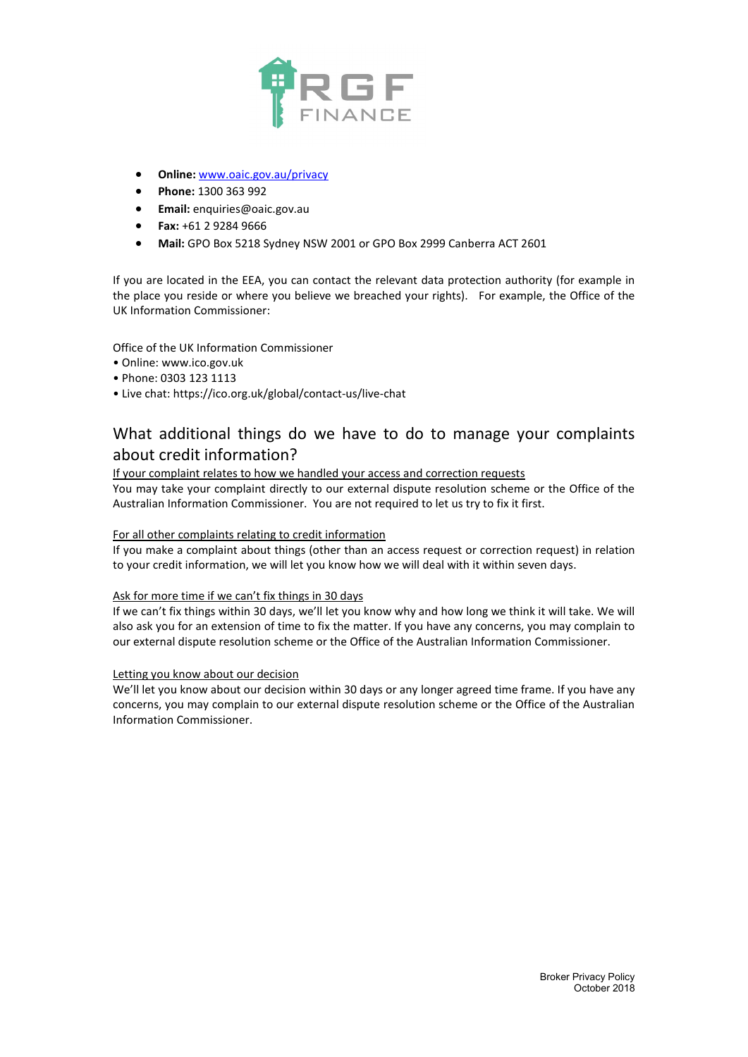

- **Online:** [www.oaic.gov.au/privacy](http://www.oaic.gov.au/privacy)
- **Phone:** 1300 363 992
- **Email:** [enquiries@oaic.gov.au](mailto:enquiries@oaic.gov.au)
- **Fax:** +61 2 9284 9666
- **Mail:** GPO Box 5218 Sydney NSW 2001 or GPO Box 2999 Canberra ACT 2601

If you are located in the EEA, you can contact the relevant data protection authority (for example in the place you reside or where you believe we breached your rights). For example, the Office of the UK Information Commissioner:

Office of the UK Information Commissioner

- Online: www.ico.gov.uk
- Phone: 0303 123 1113
- Live chat:<https://ico.org.uk/global/contact-us/live-chat>

## What additional things do we have to do to manage your complaints about credit information?

If your complaint relates to how we handled your access and correction requests

You may take your complaint directly to our external dispute resolution scheme or the Office of the Australian Information Commissioner. You are not required to let us try to fix it first.

#### For all other complaints relating to credit information

If you make a complaint about things (other than an access request or correction request) in relation to your credit information, we will let you know how we will deal with it within seven days.

#### Ask for more time if we can't fix things in 30 days

If we can't fix things within 30 days, we'll let you know why and how long we think it will take. We will also ask you for an extension of time to fix the matter. If you have any concerns, you may complain to our external dispute resolution scheme or the Office of the Australian Information Commissioner.

#### Letting you know about our decision

We'll let you know about our decision within 30 days or any longer agreed time frame. If you have any concerns, you may complain to our external dispute resolution scheme or the Office of the Australian Information Commissioner.